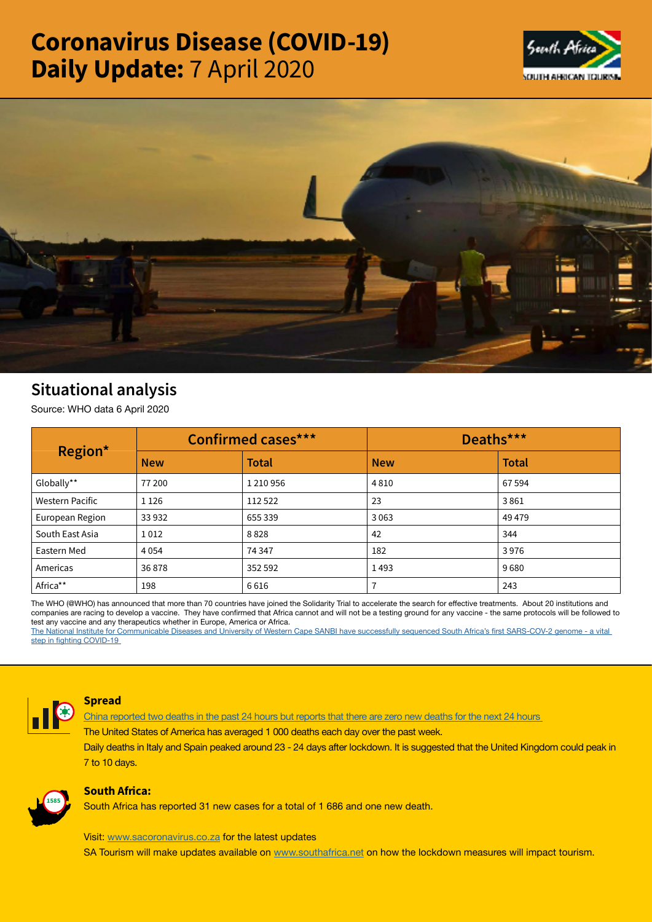# Coronavirus Disease (COVID-19) Daily Update: 7 April 2020





# Situational analysis

Source: WHO data 6 April 2020

| Region*         | <b>Confirmed cases***</b> |               | Deaths***  |              |
|-----------------|---------------------------|---------------|------------|--------------|
|                 | <b>New</b>                | <b>Total</b>  | <b>New</b> | <b>Total</b> |
| Globally**      | 77 200                    | 1 2 1 0 9 5 6 | 4810       | 67 594       |
| Western Pacific | 1 1 2 6                   | 112 522       | 23         | 3861         |
| European Region | 33 932                    | 655 339       | 3063       | 49 4 79      |
| South East Asia | 1012                      | 8828          | 42         | 344          |
| Eastern Med     | 4 0 5 4                   | 74 347        | 182        | 3976         |
| Americas        | 36878                     | 352 592       | 1493       | 9680         |
| Africa**        | 198                       | 6616          |            | 243          |

The WHO (@WHO) has announced that more than 70 countries have joined the Solidarity Trial to accelerate the search for effective treatments. About 20 institutions and companies are racing to develop a vaccine. They have confirmed that Africa cannot and will not be a testing ground for any vaccine - the same protocols will be followed to test any vaccine and any therapeutics whether in Europe, America or Africa.

The National Institute for Communicable Diseases and University of Western Cape SANBI have successfully sequenced South Africa's first SARS-COV-2 genome - a vital step in fighting COVID-19



#### **Spread**

**[China reported two deaths in the past 24 hours but reports that there are zero new deaths for the next 24 hours](https://t.co/3G2KAiWlQm?amp=1)** 

**The United States of America has averaged 1 000 deaths each day over the past week.**

**Daily deaths in Italy and Spain peaked around 23 - 24 days after lockdown. It is suggested that the United Kingdom could peak in 7 to 10 days.**



# South Africa:

South Africa has reported 31 new cases for a total of 1 686 and one new death.

Visit: [www.sacoronavirus.co.za](http://www.sacoronavirus.co.za) for the latest updates

SA Tourism will make updates available on [www.southafrica.net](http://www.southafrica.net) on how the lockdown measures will impact tourism.